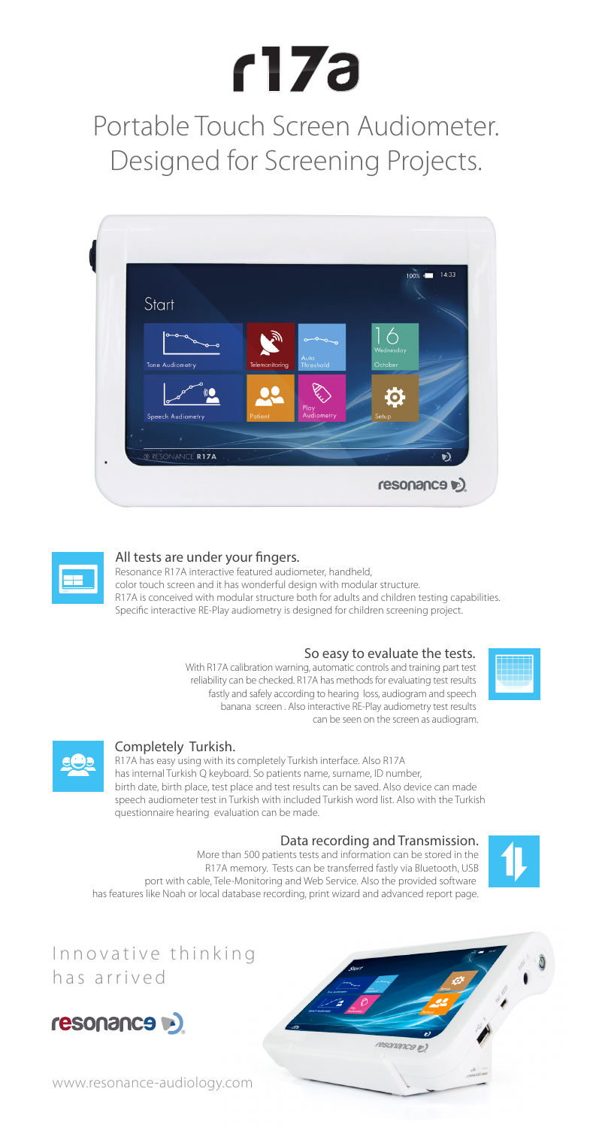# $f17a$

Portable Touch Screen Audiometer. Designed for Screening Projects.





### All tests are under your fingers.

Resonance R17A interactive featured audiometer, handheld, color touch screen and it has wonderful design with modular structure. R17A is conceived with modular structure both for adults and children testing capabilities. Specific interactive RE-Play audiometry is designed for children screening project.

### So easy to evaluate the tests.

With R17A calibration warning, automatic controls and training part test reliability can be checked. R17A has methods for evaluating test results fastly and safely according to hearing loss, audiogram and speech banana screen . Also interactive RE-Play audiometry test results can be seen on the screen as audiogram.





### Completely Turkish.

R17A has easy using with its completely Turkish interface. Also R17A has internal Turkish Q keyboard. So patients name, surname, ID number, birth date, birth place, test place and test results can be saved. Also device can made speech audiometer test in Turkish with included Turkish word list. Also with the Turkish questionnaire hearing evaluation can be made.

### Data recording and Transmission.

resonance p)

More than 500 patients tests and information can be stored in the R17A memory. Tests can be transferred fastly via Bluetooth, USB port with cable, Tele-Monitoring and Web Service. Also the provided software has features like Noah or local database recording, print wizard and advanced report page.



### Innovative thinking has arrived